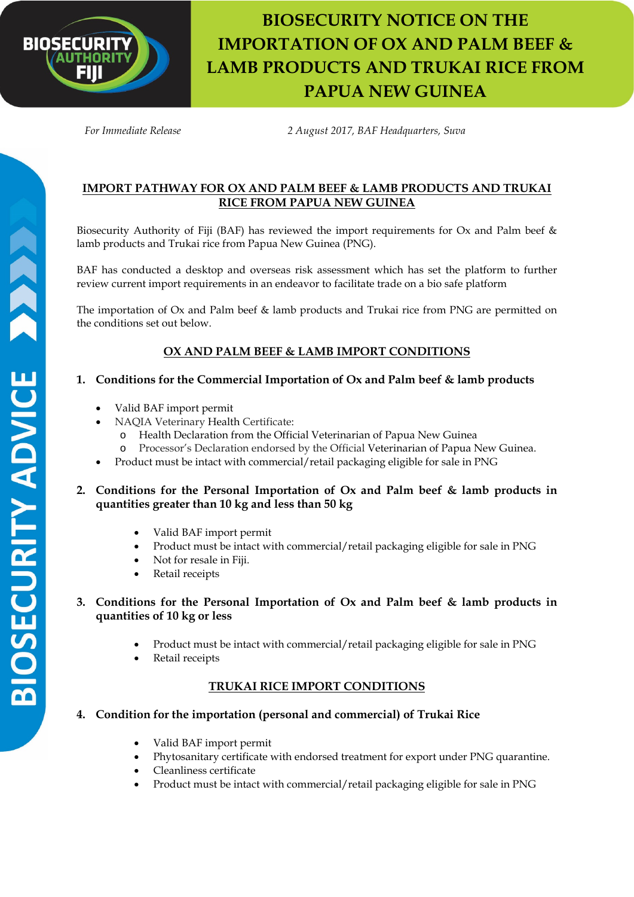

# **BIOSECURITY NOTICE ON THE IMPORTATION OF OX AND PALM BEEF & LAMB PRODUCTS AND TRUKAI RICE FROM PAPUA NEW GUINEA**

 *For Immediate Release 2 August 2017, BAF Headquarters, Suva*

## **IMPORT PATHWAY FOR OX AND PALM BEEF & LAMB PRODUCTS AND TRUKAI RICE FROM PAPUA NEW GUINEA**

Biosecurity Authority of Fiji (BAF) has reviewed the import requirements for Ox and Palm beef & lamb products and Trukai rice from Papua New Guinea (PNG).

BAF has conducted a desktop and overseas risk assessment which has set the platform to further review current import requirements in an endeavor to facilitate trade on a bio safe platform

The importation of Ox and Palm beef & lamb products and Trukai rice from PNG are permitted on the conditions set out below.

# **OX AND PALM BEEF & LAMB IMPORT CONDITIONS**

## **1. Conditions for the Commercial Importation of Ox and Palm beef & lamb products**

- Valid BAF import permit
- NAQIA Veterinary Health Certificate:
	- o Health Declaration from the Official Veterinarian of Papua New Guinea
	- o Processor's Declaration endorsed by the Official Veterinarian of Papua New Guinea.
- Product must be intact with commercial/retail packaging eligible for sale in PNG

#### **2. Conditions for the Personal Importation of Ox and Palm beef & lamb products in quantities greater than 10 kg and less than 50 kg**

- Valid BAF import permit
- Product must be intact with commercial/retail packaging eligible for sale in PNG
- Not for resale in Fiji.
- Retail receipts
- **3. Conditions for the Personal Importation of Ox and Palm beef & lamb products in quantities of 10 kg or less**
	- Product must be intact with commercial/retail packaging eligible for sale in PNG
	- Retail receipts

# **TRUKAI RICE IMPORT CONDITIONS**

# **4. Condition for the importation (personal and commercial) of Trukai Rice**

- Valid BAF import permit
- Phytosanitary certificate with endorsed treatment for export under PNG quarantine.
- Cleanliness certificate
- Product must be intact with commercial/retail packaging eligible for sale in PNG